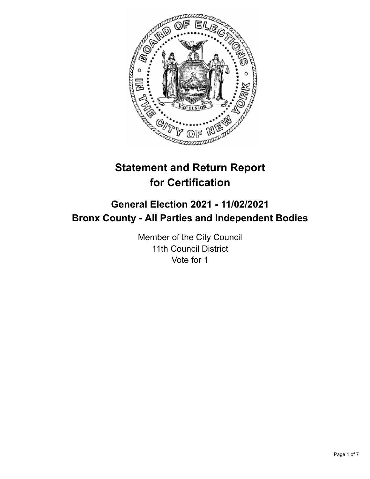

# **Statement and Return Report for Certification**

## **General Election 2021 - 11/02/2021 Bronx County - All Parties and Independent Bodies**

Member of the City Council 11th Council District Vote for 1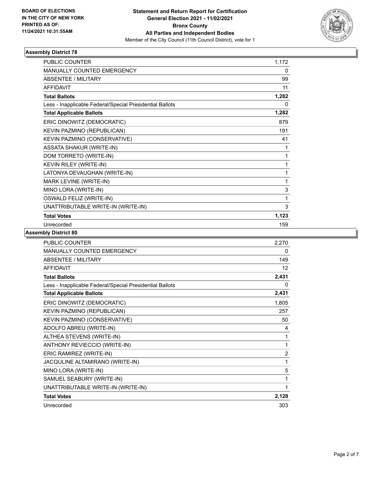

### **Assembly District 78**

| <b>PUBLIC COUNTER</b>                                    | 1,172        |
|----------------------------------------------------------|--------------|
| <b>MANUALLY COUNTED EMERGENCY</b>                        | $\mathbf{0}$ |
| <b>ABSENTEE / MILITARY</b>                               | 99           |
| <b>AFFIDAVIT</b>                                         | 11           |
| <b>Total Ballots</b>                                     | 1,282        |
| Less - Inapplicable Federal/Special Presidential Ballots | 0            |
| <b>Total Applicable Ballots</b>                          | 1,282        |
| ERIC DINOWITZ (DEMOCRATIC)                               | 879          |
| KEVIN PAZMINO (REPUBLICAN)                               | 191          |
| KEVIN PAZMINO (CONSERVATIVE)                             | 41           |
| <b>ASSATA SHAKUR (WRITE-IN)</b>                          | 1            |
| DOM TORRETO (WRITE-IN)                                   | 1            |
| KEVIN RILEY (WRITE-IN)                                   | 1            |
| LATONYA DEVAUGHAN (WRITE-IN)                             | 1            |
| MARK LEVINE (WRITE-IN)                                   | 1            |
| MINO LORA (WRITE-IN)                                     | 3            |
| OSWALD FELIZ (WRITE-IN)                                  | 1            |
| UNATTRIBUTABLE WRITE-IN (WRITE-IN)                       | 3            |
| <b>Total Votes</b>                                       | 1,123        |
| Unrecorded                                               | 159          |

### **Assembly District 80**

| <b>PUBLIC COUNTER</b>                                    | 2,270           |
|----------------------------------------------------------|-----------------|
| MANUALLY COUNTED EMERGENCY                               | 0               |
| ABSENTEE / MILITARY                                      | 149             |
| <b>AFFIDAVIT</b>                                         | 12 <sup>2</sup> |
| <b>Total Ballots</b>                                     | 2,431           |
| Less - Inapplicable Federal/Special Presidential Ballots | 0               |
| <b>Total Applicable Ballots</b>                          | 2,431           |
| ERIC DINOWITZ (DEMOCRATIC)                               | 1,805           |
| KEVIN PAZMINO (REPUBLICAN)                               | 257             |
| KEVIN PAZMINO (CONSERVATIVE)                             | 50              |
| ADOLFO ABREU (WRITE-IN)                                  | 4               |
| ALTHEA STEVENS (WRITE-IN)                                | 1               |
| ANTHONY REVIECCIO (WRITE-IN)                             | 1               |
| ERIC RAMIREZ (WRITE-IN)                                  | $\overline{2}$  |
| JACQULINE ALTAMIRANO (WRITE-IN)                          | 1               |
| MINO LORA (WRITE-IN)                                     | 5               |
| SAMUEL SEABURY (WRITE-IN)                                | 1               |
| UNATTRIBUTABLE WRITE-IN (WRITE-IN)                       | 1               |
| <b>Total Votes</b>                                       | 2,128           |
| Unrecorded                                               | 303             |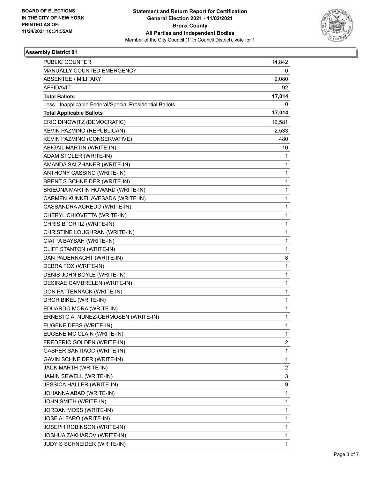

### **Assembly District 81**

| <b>PUBLIC COUNTER</b>                                    | 14,842       |
|----------------------------------------------------------|--------------|
| MANUALLY COUNTED EMERGENCY                               | 0            |
| ABSENTEE / MILITARY                                      | 2,080        |
| <b>AFFIDAVIT</b>                                         | 92           |
| <b>Total Ballots</b>                                     | 17,014       |
| Less - Inapplicable Federal/Special Presidential Ballots | 0            |
| <b>Total Applicable Ballots</b>                          | 17,014       |
| ERIC DINOWITZ (DEMOCRATIC)                               | 12,581       |
| KEVIN PAZMINO (REPUBLICAN)                               | 2,533        |
| KEVIN PAZMINO (CONSERVATIVE)                             | 480          |
| ABIGAIL MARTIN (WRITE-IN)                                | 10           |
| ADAM STOLER (WRITE-IN)                                   | 1            |
| AMANDA SALZHANER (WRITE-IN)                              | 1            |
| ANTHONY CASSINO (WRITE-IN)                               | 1            |
| BRENT S SCHNEIDER (WRITE-IN)                             | 1            |
| BRIEONA MARTIN HOWARD (WRITE-IN)                         | 1            |
| CARMEN KUNKEL AVESADA (WRITE-IN)                         | 1            |
| CASSANDRA AGREDO (WRITE-IN)                              | 1            |
| CHERYL CHIOVETTA (WRITE-IN)                              | 1            |
| CHRIS B. ORTIZ (WRITE-IN)                                | 1            |
| CHRISTINE LOUGHRAN (WRITE-IN)                            | 1            |
| CIATTA BAYSAH (WRITE-IN)                                 | 1            |
| CLIFF STANTON (WRITE-IN)                                 | 1            |
| DAN PADERNACHT (WRITE-IN)                                | 8            |
| DEBRA FOX (WRITE-IN)                                     | 1            |
| DENIS JOHN BOYLE (WRITE-IN)                              | 1            |
| DESIRAE CAMBRELEN (WRITE-IN)                             | 1            |
| DON PATTERNACK (WRITE-IN)                                | 1            |
| DROR BIKEL (WRITE-IN)                                    | 1            |
| EDUARDO MORA (WRITE-IN)                                  | 1            |
| ERNESTO A. NUNEZ-GERMOSEN (WRITE-IN)                     | 1            |
| EUGENE DEBS (WRITE-IN)                                   | 1            |
| EUGENE MC CLAIN (WRITE-IN)                               | 1            |
| FREDERIC GOLDEN (WRITE-IN)                               | 2            |
| <b>GASPER SANTIAGO (WRITE-IN)</b>                        | $\mathbf{1}$ |
| GAVIN SCHNEIDER (WRITE-IN)                               | 1            |
| JACK MARTH (WRITE-IN)                                    | 2            |
| JAMIN SEWELL (WRITE-IN)                                  | 3            |
| JESSICA HALLER (WRITE-IN)                                | 9            |
| JOHANNA ABAD (WRITE-IN)                                  | 1            |
| JOHN SMITH (WRITE-IN)                                    | 1            |
| JORDAN MOSS (WRITE-IN)                                   | 1            |
| JOSE ALFARO (WRITE-IN)                                   | 1            |
| JOSEPH ROBINSON (WRITE-IN)                               | 1            |
| JOSHUA ZAKHAROV (WRITE-IN)                               | 1            |
| JUDY S SCHNEIDER (WRITE-IN)                              | 1            |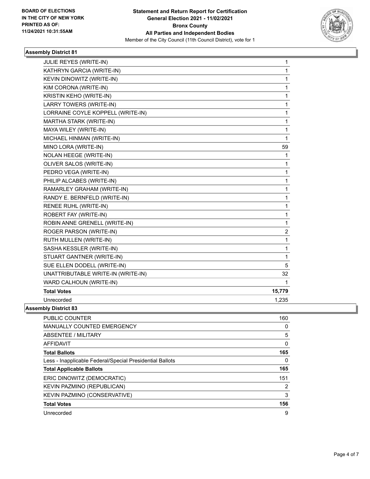

### **Assembly District 81**

| JULIE REYES (WRITE-IN)             | 1              |
|------------------------------------|----------------|
| KATHRYN GARCIA (WRITE-IN)          | 1              |
| KEVIN DINOWITZ (WRITE-IN)          | 1              |
| KIM CORONA (WRITE-IN)              | $\mathbf 1$    |
| KRISTIN KEHO (WRITE-IN)            | 1              |
| LARRY TOWERS (WRITE-IN)            | 1              |
| LORRAINE COYLE KOPPELL (WRITE-IN)  | 1              |
| MARTHA STARK (WRITE-IN)            | 1              |
| MAYA WILEY (WRITE-IN)              | 1              |
| MICHAEL HINMAN (WRITE-IN)          | $\mathbf{1}$   |
| MINO LORA (WRITE-IN)               | 59             |
| <b>NOLAN HEEGE (WRITE-IN)</b>      | 1              |
| OLIVER SALOS (WRITE-IN)            | 1              |
| PEDRO VEGA (WRITE-IN)              | 1              |
| PHILIP ALCABES (WRITE-IN)          | 1              |
| RAMARLEY GRAHAM (WRITE-IN)         | 1              |
| RANDY E. BERNFELD (WRITE-IN)       | 1              |
| RENEE RUHL (WRITE-IN)              | 1              |
| ROBERT FAY (WRITE-IN)              | 1              |
| ROBIN ANNE GRENELL (WRITE-IN)      | 1              |
| ROGER PARSON (WRITE-IN)            | $\overline{2}$ |
| RUTH MULLEN (WRITE-IN)             | 1              |
| SASHA KESSLER (WRITE-IN)           | 1              |
| STUART GANTNER (WRITE-IN)          | 1              |
| SUE ELLEN DODELL (WRITE-IN)        | 5              |
| UNATTRIBUTABLE WRITE-IN (WRITE-IN) | 32             |
| WARD CALHOUN (WRITE-IN)            | 1              |
| <b>Total Votes</b>                 | 15,779         |
| Unrecorded                         | 1,235          |
| mhly Nietri <i>r</i> t 83          |                |

**Assembly District 83**

| PUBLIC COUNTER                                           | 160      |
|----------------------------------------------------------|----------|
| <b>MANUALLY COUNTED EMERGENCY</b>                        | 0        |
| ABSENTEE / MILITARY                                      | 5        |
| AFFIDAVIT                                                | $\Omega$ |
| <b>Total Ballots</b>                                     | 165      |
| Less - Inapplicable Federal/Special Presidential Ballots | $\Omega$ |
| <b>Total Applicable Ballots</b>                          | 165      |
| ERIC DINOWITZ (DEMOCRATIC)                               | 151      |
| KEVIN PAZMINO (REPUBLICAN)                               | 2        |
| KEVIN PAZMINO (CONSERVATIVE)                             | 3        |
| <b>Total Votes</b>                                       | 156      |
| Unrecorded                                               | 9        |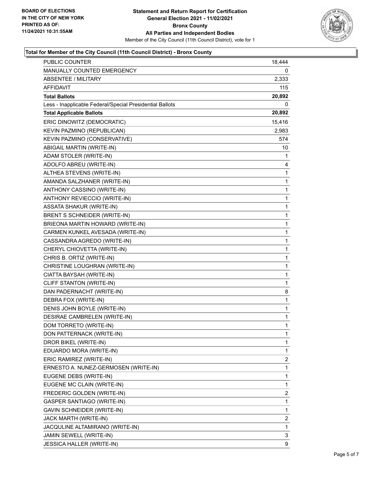

### **Total for Member of the City Council (11th Council District) - Bronx County**

| PUBLIC COUNTER                                           | 18,444       |
|----------------------------------------------------------|--------------|
| MANUALLY COUNTED EMERGENCY                               | 0            |
| <b>ABSENTEE / MILITARY</b>                               | 2,333        |
| AFFIDAVIT                                                | 115          |
| <b>Total Ballots</b>                                     | 20,892       |
| Less - Inapplicable Federal/Special Presidential Ballots | 0            |
| <b>Total Applicable Ballots</b>                          | 20,892       |
| ERIC DINOWITZ (DEMOCRATIC)                               | 15,416       |
| KEVIN PAZMINO (REPUBLICAN)                               | 2,983        |
| KEVIN PAZMINO (CONSERVATIVE)                             | 574          |
| ABIGAIL MARTIN (WRITE-IN)                                | 10           |
| ADAM STOLER (WRITE-IN)                                   | 1            |
| ADOLFO ABREU (WRITE-IN)                                  | 4            |
| ALTHEA STEVENS (WRITE-IN)                                | $\mathbf{1}$ |
| AMANDA SALZHANER (WRITE-IN)                              | 1            |
| ANTHONY CASSINO (WRITE-IN)                               | 1            |
| ANTHONY REVIECCIO (WRITE-IN)                             | 1            |
| <b>ASSATA SHAKUR (WRITE-IN)</b>                          | 1            |
| BRENT S SCHNEIDER (WRITE-IN)                             | 1            |
| BRIEONA MARTIN HOWARD (WRITE-IN)                         | $\mathbf{1}$ |
| CARMEN KUNKEL AVESADA (WRITE-IN)                         | 1            |
| CASSANDRA AGREDO (WRITE-IN)                              | 1            |
| CHERYL CHIOVETTA (WRITE-IN)                              | 1            |
| CHRIS B. ORTIZ (WRITE-IN)                                | 1            |
| CHRISTINE LOUGHRAN (WRITE-IN)                            | 1            |
| CIATTA BAYSAH (WRITE-IN)                                 | $\mathbf{1}$ |
| CLIFF STANTON (WRITE-IN)                                 | 1            |
| DAN PADERNACHT (WRITE-IN)                                | 8            |
| DEBRA FOX (WRITE-IN)                                     | $\mathbf{1}$ |
| DENIS JOHN BOYLE (WRITE-IN)                              | 1            |
| DESIRAE CAMBRELEN (WRITE-IN)                             | 1            |
| DOM TORRETO (WRITE-IN)                                   | $\mathbf{1}$ |
| DON PATTERNACK (WRITE-IN)                                | 1            |
| DROR BIKEL (WRITE-IN)                                    | 1            |
| EDUARDO MORA (WRITE-IN)                                  | 1            |
| ERIC RAMIREZ (WRITE-IN)                                  | 2            |
| ERNESTO A. NUNEZ-GERMOSEN (WRITE-IN)                     | 1            |
| EUGENE DEBS (WRITE-IN)                                   | 1            |
| EUGENE MC CLAIN (WRITE-IN)                               | 1            |
| FREDERIC GOLDEN (WRITE-IN)                               | 2            |
| GASPER SANTIAGO (WRITE-IN)                               | 1            |
| GAVIN SCHNEIDER (WRITE-IN)                               | 1            |
| JACK MARTH (WRITE-IN)                                    | 2            |
| JACQULINE ALTAMIRANO (WRITE-IN)                          | 1            |
| JAMIN SEWELL (WRITE-IN)                                  | 3            |
| JESSICA HALLER (WRITE-IN)                                | 9            |
|                                                          |              |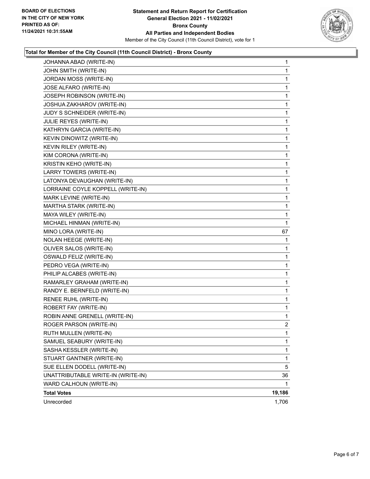

### **Total for Member of the City Council (11th Council District) - Bronx County**

| JOHANNA ABAD (WRITE-IN)            | $\mathbf{1}$   |
|------------------------------------|----------------|
| JOHN SMITH (WRITE-IN)              | 1              |
| JORDAN MOSS (WRITE-IN)             | 1              |
| JOSE ALFARO (WRITE-IN)             | 1              |
| JOSEPH ROBINSON (WRITE-IN)         | 1              |
| JOSHUA ZAKHAROV (WRITE-IN)         | 1              |
| JUDY S SCHNEIDER (WRITE-IN)        | 1              |
| JULIE REYES (WRITE-IN)             | 1              |
| KATHRYN GARCIA (WRITE-IN)          | 1              |
| KEVIN DINOWITZ (WRITE-IN)          | 1              |
| KEVIN RILEY (WRITE-IN)             | 1              |
| KIM CORONA (WRITE-IN)              | 1              |
| KRISTIN KEHO (WRITE-IN)            | 1              |
| LARRY TOWERS (WRITE-IN)            | 1              |
| LATONYA DEVAUGHAN (WRITE-IN)       | 1              |
| LORRAINE COYLE KOPPELL (WRITE-IN)  | 1              |
| MARK LEVINE (WRITE-IN)             | 1              |
| MARTHA STARK (WRITE-IN)            | 1              |
| MAYA WILEY (WRITE-IN)              | 1              |
| MICHAEL HINMAN (WRITE-IN)          | 1              |
| MINO LORA (WRITE-IN)               | 67             |
| NOLAN HEEGE (WRITE-IN)             | 1              |
| OLIVER SALOS (WRITE-IN)            | 1              |
| OSWALD FELIZ (WRITE-IN)            | 1              |
| PEDRO VEGA (WRITE-IN)              | 1              |
| PHILIP ALCABES (WRITE-IN)          | 1              |
| RAMARLEY GRAHAM (WRITE-IN)         | 1              |
| RANDY E. BERNFELD (WRITE-IN)       | 1              |
| RENEE RUHL (WRITE-IN)              | 1              |
| ROBERT FAY (WRITE-IN)              | 1              |
| ROBIN ANNE GRENELL (WRITE-IN)      | 1              |
| ROGER PARSON (WRITE-IN)            | $\overline{2}$ |
| RUTH MULLEN (WRITE-IN)             | 1              |
| SAMUEL SEABURY (WRITE-IN)          | 1              |
| SASHA KESSLER (WRITE-IN)           | 1              |
| STUART GANTNER (WRITE-IN)          | 1              |
| SUE ELLEN DODELL (WRITE-IN)        | 5              |
| UNATTRIBUTABLE WRITE-IN (WRITE-IN) | 36             |
| WARD CALHOUN (WRITE-IN)            | 1              |
| <b>Total Votes</b>                 | 19,186         |
| Unrecorded                         | 1,706          |